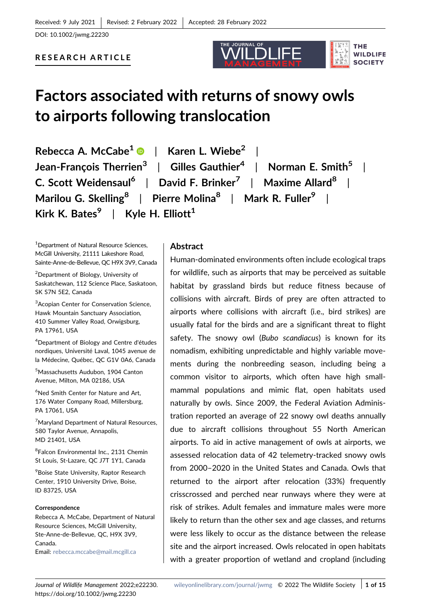DOI: 10.1002/jwmg.22230

# RESEARCH ARTICLE

# Factors associated with returns of snowy owls to airports following translocation

THE JOURNAL OF

**THE WILDLIFE SOCIETY** 

Rebecca A. McCabe<sup>[1](http://orcid.org/0000-0001-7761-6020)</sup>  $\bullet$  | Karen L. Wiebe<sup>2</sup> Jean-Francois Therrien<sup>3</sup> | Gilles Gauthier<sup>4</sup> | Norman E. Smith<sup>5</sup> | C. Scott Weidensaul<sup>6</sup> | David F. Brinker<sup>7</sup> | Maxime Allard<sup>8</sup> Marilou G. Skelling<sup>8</sup> | Pierre Molina<sup>8</sup> | Mark R. Fuller<sup>9</sup> | Kirk K. Bates<sup>9</sup> | Kyle H. Elliott<sup>1</sup>

1 Department of Natural Resource Sciences, McGill University, 21111 Lakeshore Road, Sainte‐Anne‐de‐Bellevue, QC H9X 3V9, Canada

2 Department of Biology, University of Saskatchewan, 112 Science Place, Saskatoon, SK S7N 5E2, Canada

<sup>3</sup>Acopian Center for Conservation Science, Hawk Mountain Sanctuary Association, 410 Summer Valley Road, Orwigsburg, PA 17961, USA

4 Department of Biology and Centre d'études nordiques, Université Laval, 1045 avenue de la Médecine, Québec, QC G1V 0A6, Canada

5 Massachusetts Audubon, 1904 Canton Avenue, Milton, MA 02186, USA

6 Ned Smith Center for Nature and Art, 176 Water Company Road, Millersburg, PA 17061, USA

<sup>7</sup>Maryland Department of Natural Resources, 580 Taylor Avenue, Annapolis, MD 21401, USA

8 Falcon Environmental Inc., 2131 Chemin St Louis, St-Lazare, QC J7T 1Y1, Canada

9 Boise State University, Raptor Research Center, 1910 University Drive, Boise, ID 83725, USA

## Correspondence

Rebecca A. McCabe, Department of Natural Resource Sciences, McGill University, Ste-Anne-de-Bellevue, QC, H9X 3V9, Canada. Email: [rebecca.mccabe@mail.mcgill.ca](mailto:rebecca.mccabe@mail.mcgill.ca)

# Abstract

Human‐dominated environments often include ecological traps for wildlife, such as airports that may be perceived as suitable habitat by grassland birds but reduce fitness because of collisions with aircraft. Birds of prey are often attracted to airports where collisions with aircraft (i.e., bird strikes) are usually fatal for the birds and are a significant threat to flight safety. The snowy owl (Bubo scandiacus) is known for its nomadism, exhibiting unpredictable and highly variable movements during the nonbreeding season, including being a common visitor to airports, which often have high small‐ mammal populations and mimic flat, open habitats used naturally by owls. Since 2009, the Federal Aviation Administration reported an average of 22 snowy owl deaths annually due to aircraft collisions throughout 55 North American airports. To aid in active management of owls at airports, we assessed relocation data of 42 telemetry-tracked snowy owls from 2000–2020 in the United States and Canada. Owls that returned to the airport after relocation (33%) frequently crisscrossed and perched near runways where they were at risk of strikes. Adult females and immature males were more likely to return than the other sex and age classes, and returns were less likely to occur as the distance between the release site and the airport increased. Owls relocated in open habitats with a greater proportion of wetland and cropland (including

https://doi.org/10.1002/jwmg.22230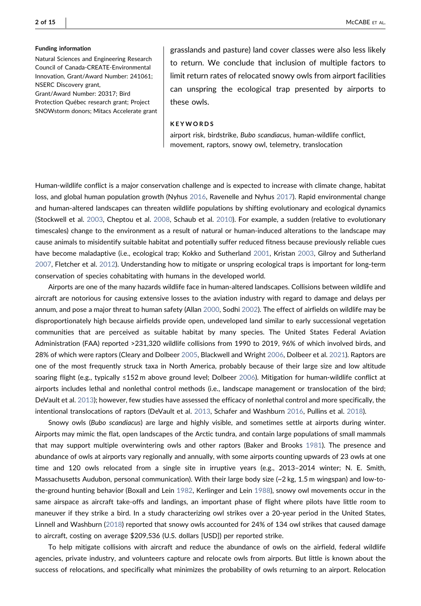#### Funding information

Natural Sciences and Engineering Research Council of Canada‐CREATE‐Environmental Innovation, Grant/Award Number: 241061; NSERC Discovery grant, Grant/Award Number: 20317; Bird Protection Québec research grant; Project

SNOWstorm donors; Mitacs Accelerate grant

grasslands and pasture) land cover classes were also less likely to return. We conclude that inclusion of multiple factors to limit return rates of relocated snowy owls from airport facilities can unspring the ecological trap presented by airports to these owls.

#### KEYWORDS

airport risk, birdstrike, Bubo scandiacus, human‐wildlife conflict, movement, raptors, snowy owl, telemetry, translocation

Human‐wildlife conflict is a major conservation challenge and is expected to increase with climate change, habitat loss, and global human population growth (Nyhus [2016](#page-12-0), Ravenelle and Nyhus [2017](#page-12-1)). Rapid environmental change and human‐altered landscapes can threaten wildlife populations by shifting evolutionary and ecological dynamics (Stockwell et al. [2003,](#page-13-0) Cheptou et al. [2008,](#page-12-2) Schaub et al. [2010\)](#page-12-3). For example, a sudden (relative to evolutionary timescales) change to the environment as a result of natural or human-induced alterations to the landscape may cause animals to misidentify suitable habitat and potentially suffer reduced fitness because previously reliable cues have become maladaptive (i.e., ecological trap; Kokko and Sutherland [2001,](#page-12-4) Kristan [2003,](#page-12-5) Gilroy and Sutherland [2007](#page-12-6), Fletcher et al. [2012\)](#page-12-7). Understanding how to mitigate or unspring ecological traps is important for long‐term conservation of species cohabitating with humans in the developed world.

Airports are one of the many hazards wildlife face in human‐altered landscapes. Collisions between wildlife and aircraft are notorious for causing extensive losses to the aviation industry with regard to damage and delays per annum, and pose a major threat to human safety (Allan [2000,](#page-11-0) Sodhi [2002\)](#page-13-1). The effect of airfields on wildlife may be disproportionately high because airfields provide open, undeveloped land similar to early successional vegetation communities that are perceived as suitable habitat by many species. The United States Federal Aviation Administration (FAA) reported >231,320 wildlife collisions from 1990 to 2019, 96% of which involved birds, and 28% of which were raptors (Cleary and Dolbeer [2005](#page-12-8), Blackwell and Wright [2006](#page-11-1), Dolbeer et al. [2021\)](#page-12-9). Raptors are one of the most frequently struck taxa in North America, probably because of their large size and low altitude soaring flight (e.g., typically ≤152 m above ground level; Dolbeer [2006\)](#page-12-10). Mitigation for human-wildlife conflict at airports includes lethal and nonlethal control methods (i.e., landscape management or translocation of the bird; DeVault et al. [2013\)](#page-12-11); however, few studies have assessed the efficacy of nonlethal control and more specifically, the intentional translocations of raptors (DeVault et al. [2013](#page-12-11), Schafer and Washburn [2016](#page-13-2), Pullins et al. [2018](#page-12-12)).

Snowy owls (Bubo scandiacus) are large and highly visible, and sometimes settle at airports during winter. Airports may mimic the flat, open landscapes of the Arctic tundra, and contain large populations of small mammals that may support multiple overwintering owls and other raptors (Baker and Brooks [1981\)](#page-11-2). The presence and abundance of owls at airports vary regionally and annually, with some airports counting upwards of 23 owls at one time and 120 owls relocated from a single site in irruptive years (e.g., 2013–2014 winter; N. E. Smith, Massachusetts Audubon, personal communication). With their large body size (~2 kg, 1.5 m wingspan) and low-to-the-ground hunting behavior (Boxall and Lein [1982,](#page-11-3) Kerlinger and Lein [1988\)](#page-12-13), snowy owl movements occur in the same airspace as aircraft take-offs and landings, an important phase of flight where pilots have little room to maneuver if they strike a bird. In a study characterizing owl strikes over a 20‐year period in the United States, Linnell and Washburn ([2018](#page-12-14)) reported that snowy owls accounted for 24% of 134 owl strikes that caused damage to aircraft, costing on average \$209,536 (U.S. dollars [USD]) per reported strike.

To help mitigate collisions with aircraft and reduce the abundance of owls on the airfield, federal wildlife agencies, private industry, and volunteers capture and relocate owls from airports. But little is known about the success of relocations, and specifically what minimizes the probability of owls returning to an airport. Relocation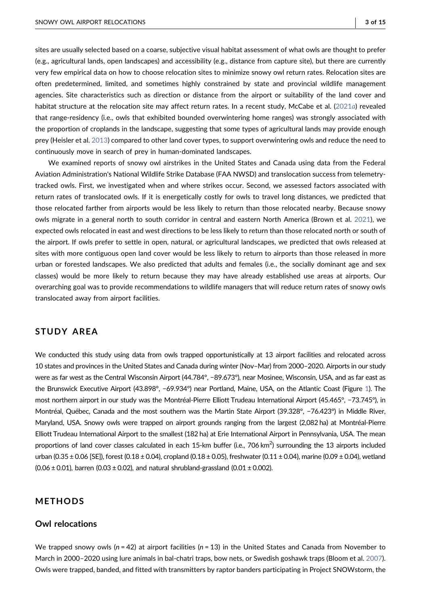sites are usually selected based on a coarse, subjective visual habitat assessment of what owls are thought to prefer (e.g., agricultural lands, open landscapes) and accessibility (e.g., distance from capture site), but there are currently very few empirical data on how to choose relocation sites to minimize snowy owl return rates. Relocation sites are often predetermined, limited, and sometimes highly constrained by state and provincial wildlife management agencies. Site characteristics such as direction or distance from the airport or suitability of the land cover and habitat structure at the relocation site may affect return rates. In a recent study, McCabe et al. ([2021](#page-12-15)a) revealed that range‐residency (i.e., owls that exhibited bounded overwintering home ranges) was strongly associated with the proportion of croplands in the landscape, suggesting that some types of agricultural lands may provide enough prey (Heisler et al. [2013](#page-12-16)) compared to other land cover types, to support overwintering owls and reduce the need to continuously move in search of prey in human‐dominated landscapes.

We examined reports of snowy owl airstrikes in the United States and Canada using data from the Federal Aviation Administration's National Wildlife Strike Database (FAA NWSD) and translocation success from telemetry‐ tracked owls. First, we investigated when and where strikes occur. Second, we assessed factors associated with return rates of translocated owls. If it is energetically costly for owls to travel long distances, we predicted that those relocated farther from airports would be less likely to return than those relocated nearby. Because snowy owls migrate in a general north to south corridor in central and eastern North America (Brown et al. [2021\)](#page-11-4), we expected owls relocated in east and west directions to be less likely to return than those relocated north or south of the airport. If owls prefer to settle in open, natural, or agricultural landscapes, we predicted that owls released at sites with more contiguous open land cover would be less likely to return to airports than those released in more urban or forested landscapes. We also predicted that adults and females (i.e., the socially dominant age and sex classes) would be more likely to return because they may have already established use areas at airports. Our overarching goal was to provide recommendations to wildlife managers that will reduce return rates of snowy owls translocated away from airport facilities.

# STUDY AREA

We conducted this study using data from owls trapped opportunistically at 13 airport facilities and relocated across 10 states and provinces in the United States and Canada during winter (Nov–Mar) from 2000–2020. Airports in our study were as far west as the Central Wisconsin Airport (44.784°, −89.673°), near Mosinee, Wisconsin, USA, and as far east as the Brunswick Executive Airport (43.898°, −69.934°) near Portland, Maine, USA, on the Atlantic Coast (Figure [1\)](#page-3-0). The most northern airport in our study was the Montréal‐Pierre Elliott Trudeau International Airport (45.465°, −73.745°), in Montréal, Québec, Canada and the most southern was the Martin State Airport (39.328°, −76.423°) in Middle River, Maryland, USA. Snowy owls were trapped on airport grounds ranging from the largest (2,082 ha) at Montréal‐Pierre Elliott Trudeau International Airport to the smallest (182 ha) at Erie International Airport in Pennsylvania, USA. The mean proportions of land cover classes calculated in each 15-km buffer (i.e., 706 km<sup>2</sup>) surrounding the 13 airports included urban (0.35 ± 0.06 [SE]), forest (0.18 ± 0.04), cropland (0.18 ± 0.05), freshwater (0.11 ± 0.04), marine (0.09 ± 0.04), wetland  $(0.06 \pm 0.01)$ , barren  $(0.03 \pm 0.02)$ , and natural shrubland-grassland  $(0.01 \pm 0.002)$ .

# METHODS

## Owl relocations

We trapped snowy owls ( $n = 42$ ) at airport facilities ( $n = 13$ ) in the United States and Canada from November to March in 2000–2020 using lure animals in bal-chatri traps, bow nets, or Swedish goshawk traps (Bloom et al. [2007](#page-11-5)). Owls were trapped, banded, and fitted with transmitters by raptor banders participating in Project SNOWstorm, the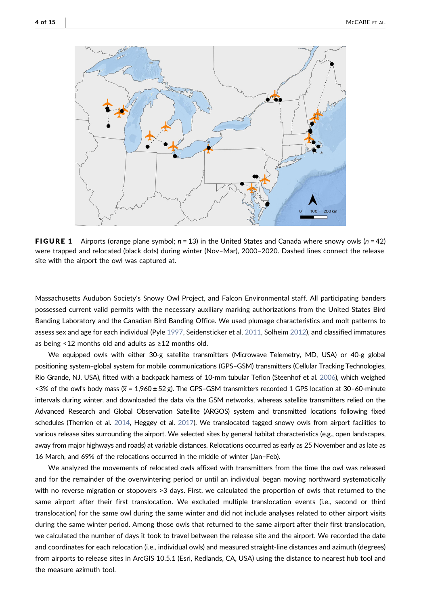<span id="page-3-0"></span>

**FIGURE 1** Airports (orange plane symbol;  $n = 13$ ) in the United States and Canada where snowy owls ( $n = 42$ ) were trapped and relocated (black dots) during winter (Nov–Mar), 2000–2020. Dashed lines connect the release site with the airport the owl was captured at.

Massachusetts Audubon Society's Snowy Owl Project, and Falcon Environmental staff. All participating banders possessed current valid permits with the necessary auxiliary marking authorizations from the United States Bird Banding Laboratory and the Canadian Bird Banding Office. We used plumage characteristics and molt patterns to assess sex and age for each individual (Pyle [1997,](#page-12-17) Seidensticker et al. [2011,](#page-12-18) Solheim [2012\)](#page-13-3), and classified immatures as being <12 months old and adults as  $\geq$  12 months old.

We equipped owls with either 30‐g satellite transmitters (Microwave Telemetry, MD, USA) or 40‐g global positioning system–global system for mobile communications (GPS–GSM) transmitters (Cellular Tracking Technologies, Rio Grande, NJ, USA), fitted with a backpack harness of 10‐mm tubular Teflon (Steenhof et al. [2006](#page-13-4)), which weighed <3% of the owl's body mass  $(\overline{x} = 1,960 \pm 52 \text{ g})$ . The GPS–GSM transmitters recorded 1 GPS location at 30–60-minute intervals during winter, and downloaded the data via the GSM networks, whereas satellite transmitters relied on the Advanced Research and Global Observation Satellite (ARGOS) system and transmitted locations following fixed schedules (Therrien et al. [2014](#page-13-5), Heggøy et al. [2017\)](#page-12-19). We translocated tagged snowy owls from airport facilities to various release sites surrounding the airport. We selected sites by general habitat characteristics (e.g., open landscapes, away from major highways and roads) at variable distances. Relocations occurred as early as 25 November and as late as 16 March, and 69% of the relocations occurred in the middle of winter (Jan–Feb).

We analyzed the movements of relocated owls affixed with transmitters from the time the owl was released and for the remainder of the overwintering period or until an individual began moving northward systematically with no reverse migration or stopovers >3 days. First, we calculated the proportion of owls that returned to the same airport after their first translocation. We excluded multiple translocation events (i.e., second or third translocation) for the same owl during the same winter and did not include analyses related to other airport visits during the same winter period. Among those owls that returned to the same airport after their first translocation, we calculated the number of days it took to travel between the release site and the airport. We recorded the date and coordinates for each relocation (i.e., individual owls) and measured straight‐line distances and azimuth (degrees) from airports to release sites in ArcGIS 10.5.1 (Esri, Redlands, CA, USA) using the distance to nearest hub tool and the measure azimuth tool.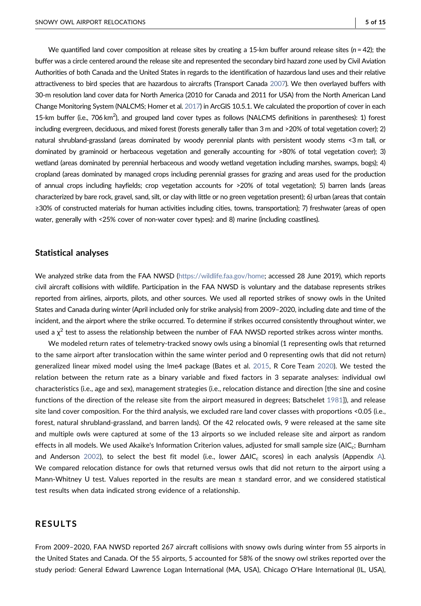We quantified land cover composition at release sites by creating a 15-km buffer around release sites ( $n = 42$ ); the buffer was a circle centered around the release site and represented the secondary bird hazard zone used by Civil Aviation Authorities of both Canada and the United States in regards to the identification of hazardous land uses and their relative attractiveness to bird species that are hazardous to aircrafts (Transport Canada [2007\)](#page-13-6). We then overlayed buffers with 30‐m resolution land cover data for North America (2010 for Canada and 2011 for USA) from the North American Land Change Monitoring System (NALCMS; Homer et al. [2017](#page-12-20)) in ArcGIS 10.5.1. We calculated the proportion of cover in each 15-km buffer (i.e., 706 km<sup>2</sup>), and grouped land cover types as follows (NALCMS definitions in parentheses): 1) forest including evergreen, deciduous, and mixed forest (forests generally taller than 3 m and >20% of total vegetation cover); 2) natural shrubland‐grassland (areas dominated by woody perennial plants with persistent woody stems <3 m tall, or dominated by graminoid or herbaceous vegetation and generally accounting for >80% of total vegetation cover); 3) wetland (areas dominated by perennial herbaceous and woody wetland vegetation including marshes, swamps, bogs); 4) cropland (areas dominated by managed crops including perennial grasses for grazing and areas used for the production of annual crops including hayfields; crop vegetation accounts for >20% of total vegetation); 5) barren lands (areas characterized by bare rock, gravel, sand, silt, or clay with little or no green vegetation present); 6) urban (areas that contain ≥30% of constructed materials for human activities including cities, towns, transportation); 7) freshwater (areas of open water, generally with <25% cover of non-water cover types): and 8) marine (including coastlines).

# Statistical analyses

We analyzed strike data from the FAA NWSD ([https://wildlife.faa.gov/home;](https://wildlife.faa.gov/home) accessed 28 June 2019), which reports civil aircraft collisions with wildlife. Participation in the FAA NWSD is voluntary and the database represents strikes reported from airlines, airports, pilots, and other sources. We used all reported strikes of snowy owls in the United States and Canada during winter (April included only for strike analysis) from 2009–2020, including date and time of the incident, and the airport where the strike occurred. To determine if strikes occurred consistently throughout winter, we used a  $\chi^2$  test to assess the relationship between the number of FAA NWSD reported strikes across winter months.

We modeled return rates of telemetry-tracked snowy owls using a binomial (1 representing owls that returned to the same airport after translocation within the same winter period and 0 representing owls that did not return) generalized linear mixed model using the lme4 package (Bates et al. [2015](#page-11-6), R Core Team [2020](#page-12-21)). We tested the relation between the return rate as a binary variable and fixed factors in 3 separate analyses: individual owl characteristics (i.e., age and sex), management strategies (i.e., relocation distance and direction [the sine and cosine functions of the direction of the release site from the airport measured in degrees; Batschelet [1981\]](#page-11-7)), and release site land cover composition. For the third analysis, we excluded rare land cover classes with proportions <0.05 (i.e., forest, natural shrubland‐grassland, and barren lands). Of the 42 relocated owls, 9 were released at the same site and multiple owls were captured at some of the 13 airports so we included release site and airport as random effects in all models. We used Akaike's Information Criterion values, adjusted for small sample size (AIC<sub>c</sub>; Burnham and Anderson [2002\)](#page-11-8), to select the best fit model (i.e., lower  $ΔAIC<sub>c</sub>$  $ΔAIC<sub>c</sub>$  $ΔAIC<sub>c</sub>$  scores) in each analysis (Appendix A). We compared relocation distance for owls that returned versus owls that did not return to the airport using a Mann-Whitney U test. Values reported in the results are mean ± standard error, and we considered statistical test results when data indicated strong evidence of a relationship.

## RESULTS

From 2009–2020, FAA NWSD reported 267 aircraft collisions with snowy owls during winter from 55 airports in the United States and Canada. Of the 55 airports, 5 accounted for 58% of the snowy owl strikes reported over the study period: General Edward Lawrence Logan International (MA, USA), Chicago O'Hare International (IL, USA),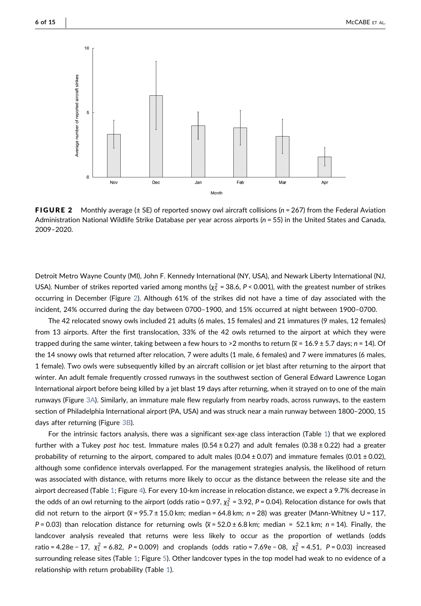<span id="page-5-0"></span>

**FIGURE 2** Monthly average ( $\pm$  SE) of reported snowy owl aircraft collisions ( $n = 267$ ) from the Federal Aviation Administration National Wildlife Strike Database per year across airports ( $n = 55$ ) in the United States and Canada, 2009–2020.

Detroit Metro Wayne County (MI), John F. Kennedy International (NY, USA), and Newark Liberty International (NJ, USA). Number of strikes reported varied among months ( $\chi_5^2$  = 38.6, P < 0.001), with the greatest number of strikes occurring in December (Figure [2\)](#page-5-0). Although 61% of the strikes did not have a time of day associated with the incident, 24% occurred during the day between 0700–1900, and 15% occurred at night between 1900–0700.

The 42 relocated snowy owls included 21 adults (6 males, 15 females) and 21 immatures (9 males, 12 females) from 13 airports. After the first translocation, 33% of the 42 owls returned to the airport at which they were trapped during the same winter, taking between a few hours to >2 months to return  $(\overline{x} = 16.9 \pm 5.7 \text{ days}; n = 14)$ . Of the 14 snowy owls that returned after relocation, 7 were adults (1 male, 6 females) and 7 were immatures (6 males, 1 female). Two owls were subsequently killed by an aircraft collision or jet blast after returning to the airport that winter. An adult female frequently crossed runways in the southwest section of General Edward Lawrence Logan International airport before being killed by a jet blast 19 days after returning, when it strayed on to one of the main runways (Figure [3A](#page-6-0)). Similarly, an immature male flew regularly from nearby roads, across runways, to the eastern section of Philadelphia International airport (PA, USA) and was struck near a main runway between 1800–2000, 15 days after returning (Figure [3B\)](#page-6-0).

For the intrinsic factors analysis, there was a significant sex‐age class interaction (Table [1\)](#page-7-0) that we explored further with a Tukey post hoc test. Immature males  $(0.54 \pm 0.27)$  and adult females  $(0.38 \pm 0.22)$  had a greater probability of returning to the airport, compared to adult males (0.04  $\pm$  0.07) and immature females (0.01  $\pm$  0.02), although some confidence intervals overlapped. For the management strategies analysis, the likelihood of return was associated with distance, with returns more likely to occur as the distance between the release site and the airport decreased (Table [1;](#page-7-0) Figure [4\)](#page-7-1). For every 10‐km increase in relocation distance, we expect a 9.7% decrease in the odds of an owl returning to the airport (odds ratio = 0.97,  $\chi_1^2$  = 3.92, P = 0.04). Relocation distance for owls that did not return to the airport ( $\overline{x}$  = 95.7 ± 15.0 km; median = 64.8 km; n = 28) was greater (Mann-Whitney U = 117,  $P = 0.03$ ) than relocation distance for returning owls ( $\overline{x} = 52.0 \pm 6.8$  km; median = 52.1 km;  $n = 14$ ). Finally, the landcover analysis revealed that returns were less likely to occur as the proportion of wetlands (odds ratio = 4.28e − 17, *χ*<sup>2</sup> = 6.82, P = 0.009) and croplands (odds ratio = 7.69e − 08, *χ*<sup>2</sup> = 4.51, P = 0.03) increased surrounding release sites (Table [1;](#page-7-0) Figure [5](#page-8-0)). Other landcover types in the top model had weak to no evidence of a relationship with return probability (Table [1](#page-7-0)).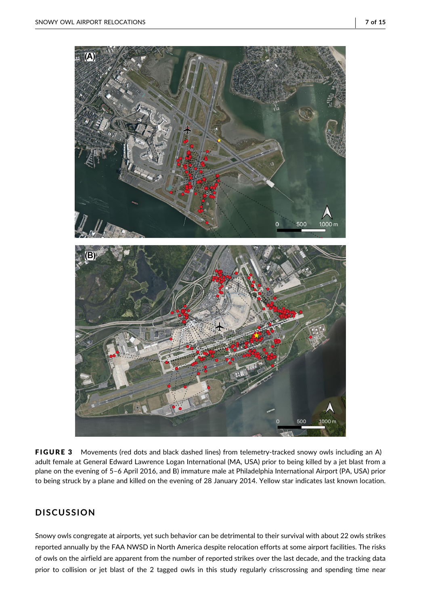<span id="page-6-0"></span>

FIGURE 3 Movements (red dots and black dashed lines) from telemetry-tracked snowy owls including an A) adult female at General Edward Lawrence Logan International (MA, USA) prior to being killed by a jet blast from a plane on the evening of 5–6 April 2016, and B) immature male at Philadelphia International Airport (PA, USA) prior to being struck by a plane and killed on the evening of 28 January 2014. Yellow star indicates last known location.

# **DISCUSSION**

Snowy owls congregate at airports, yet such behavior can be detrimental to their survival with about 22 owls strikes reported annually by the FAA NWSD in North America despite relocation efforts at some airport facilities. The risks of owls on the airfield are apparent from the number of reported strikes over the last decade, and the tracking data prior to collision or jet blast of the 2 tagged owls in this study regularly crisscrossing and spending time near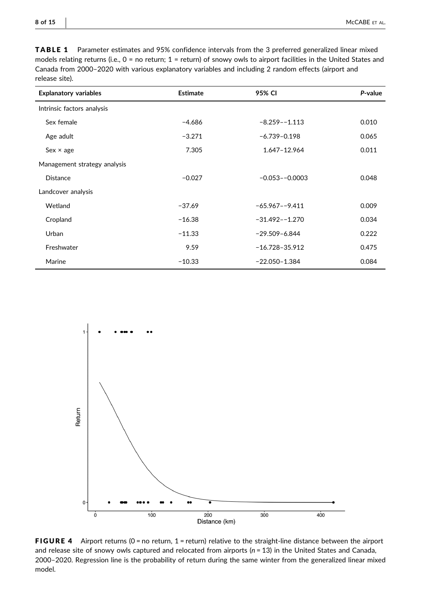<span id="page-7-0"></span>TABLE 1 Parameter estimates and 95% confidence intervals from the 3 preferred generalized linear mixed models relating returns (i.e., 0 = no return; 1 = return) of snowy owls to airport facilities in the United States and Canada from 2000–2020 with various explanatory variables and including 2 random effects (airport and release site).

| <b>Explanatory variables</b> | Estimate | 95% CI             | P-value |
|------------------------------|----------|--------------------|---------|
| Intrinsic factors analysis   |          |                    |         |
| Sex female                   | $-4.686$ | $-8.259 - -1.113$  | 0.010   |
| Age adult                    | $-3.271$ | $-6.739 - 0.198$   | 0.065   |
| $Sex \times age$             | 7.305    | 1.647-12.964       | 0.011   |
| Management strategy analysis |          |                    |         |
| <b>Distance</b>              | $-0.027$ | $-0.053 - 0.0003$  | 0.048   |
| Landcover analysis           |          |                    |         |
| Wetland                      | $-37.69$ | $-65.967 - -9.411$ | 0.009   |
| Cropland                     | $-16.38$ | $-31.492 - -1.270$ | 0.034   |
| Urban                        | $-11.33$ | $-29.509 - 6.844$  | 0.222   |
| Freshwater                   | 9.59     | $-16.728 - 35.912$ | 0.475   |
| Marine                       | $-10.33$ | $-22.050 - 1.384$  | 0.084   |

<span id="page-7-1"></span>

FIGURE 4 Airport returns ( $0 =$  no return,  $1 =$  return) relative to the straight-line distance between the airport and release site of snowy owls captured and relocated from airports ( $n = 13$ ) in the United States and Canada, 2000–2020. Regression line is the probability of return during the same winter from the generalized linear mixed model.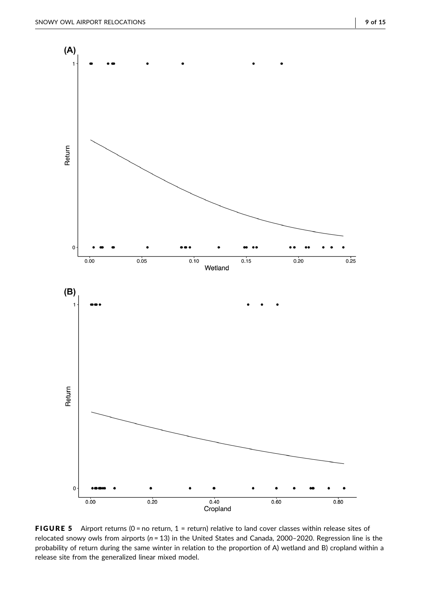<span id="page-8-0"></span>

FIGURE 5 Airport returns (0 = no return, 1 = return) relative to land cover classes within release sites of relocated snowy owls from airports ( $n = 13$ ) in the United States and Canada, 2000-2020. Regression line is the probability of return during the same winter in relation to the proportion of A) wetland and B) cropland within a release site from the generalized linear mixed model.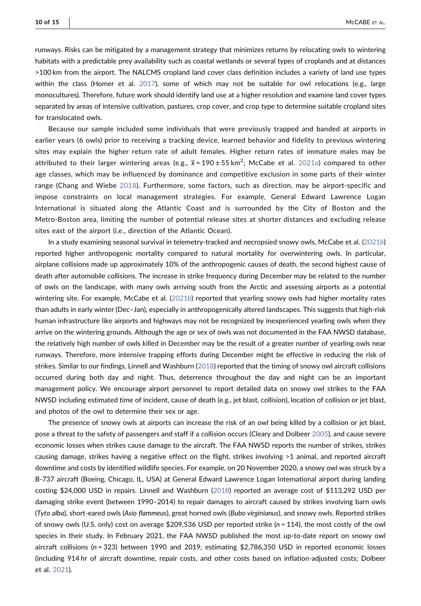runways. Risks can be mitigated by a management strategy that minimizes returns by relocating owls to wintering habitats with a predictable prey availability such as coastal wetlands or several types of croplands and at distances >100 km from the airport. The NALCMS cropland land cover class definition includes a variety of land use types within the class (Homer et al. [2017\)](#page-12-20), some of which may not be suitable for owl relocations (e.g., large monocultures). Therefore, future work should identify land use at a higher resolution and examine land cover types separated by areas of intensive cultivation, pastures, crop cover, and crop type to determine suitable cropland sites for translocated owls.

Because our sample included some individuals that were previously trapped and banded at airports in earlier years (6 owls) prior to receiving a tracking device, learned behavior and fidelity to previous wintering sites may explain the higher return rate of adult females. Higher return rates of immature males may be attributed to their larger wintering areas (e.g.,  $\overline{x}$  = 190 ± 55 km<sup>2</sup>; McCabe et al. [2021](#page-12-15) $a$ ) compared to other age classes, which may be influenced by dominance and competitive exclusion in some parts of their winter range (Chang and Wiebe [2018](#page-11-9)). Furthermore, some factors, such as direction, may be airport‐specific and impose constraints on local management strategies. For example, General Edward Lawrence Logan International is situated along the Atlantic Coast and is surrounded by the City of Boston and the Metro‐Boston area, limiting the number of potential release sites at shorter distances and excluding release sites east of the airport (i.e., direction of the Atlantic Ocean).

In a study examining seasonal survival in telemetry‐tracked and necropsied snowy owls, McCabe et al. [\(2021](#page-12-22)b) reported higher anthropogenic mortality compared to natural mortality for overwintering owls. In particular, airplane collisions made up approximately 10% of the anthropogenic causes of death, the second highest cause of death after automobile collisions. The increase in strike frequency during December may be related to the number of owls on the landscape, with many owls arriving south from the Arctic and assessing airports as a potential wintering site. For example, McCabe et al. ([2021](#page-12-22)b) reported that yearling snowy owls had higher mortality rates than adults in early winter (Dec–Jan), especially in anthropogenically altered landscapes. This suggests that high‐risk human infrastructure like airports and highways may not be recognized by inexperienced yearling owls when they arrive on the wintering grounds. Although the age or sex of owls was not documented in the FAA NWSD database, the relatively high number of owls killed in December may be the result of a greater number of yearling owls near runways. Therefore, more intensive trapping efforts during December might be effective in reducing the risk of strikes. Similar to our findings, Linnell and Washburn ([2018](#page-12-14)) reported that the timing of snowy owl aircraft collisions occurred during both day and night. Thus, deterrence throughout the day and night can be an important management policy. We encourage airport personnel to report detailed data on snowy owl strikes to the FAA NWSD including estimated time of incident, cause of death (e.g., jet blast, collision), location of collision or jet blast, and photos of the owl to determine their sex or age.

The presence of snowy owls at airports can increase the risk of an owl being killed by a collision or jet blast, pose a threat to the safety of passengers and staff if a collision occurs (Cleary and Dolbeer [2005\)](#page-12-8), and cause severe economic losses when strikes cause damage to the aircraft. The FAA NWSD reports the number of strikes, strikes causing damage, strikes having a negative effect on the flight, strikes involving >1 animal, and reported aircraft downtime and costs by identified wildlife species. For example, on 20 November 2020, a snowy owl was struck by a B‐737 aircraft (Boeing, Chicago, IL, USA) at General Edward Lawrence Logan International airport during landing costing \$24,000 USD in repairs. Linnell and Washburn [\(2018](#page-12-14)) reported an average cost of \$113,292 USD per damaging strike event (between 1990–2014) to repair damages to aircraft caused by strikes involving barn owls (Tyto alba), short‐eared owls (Asio flammeus), great horned owls (Bubo virginianus), and snowy owls. Reported strikes of snowy owls (U.S. only) cost on average \$209,536 USD per reported strike ( $n = 114$ ), the most costly of the owl species in their study. In February 2021, the FAA NWSD published the most up-to-date report on snowy owl aircraft collisions (n = 323) between 1990 and 2019, estimating \$2,786,350 USD in reported economic losses (including 914 hr of aircraft downtime, repair costs, and other costs based on inflation‐adjusted costs; Dolbeer et al. [2021](#page-12-9)).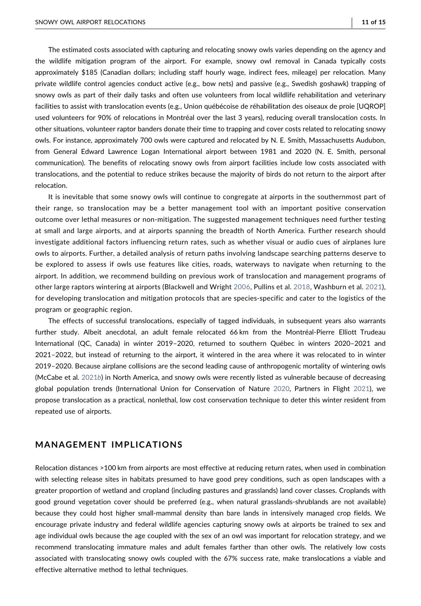The estimated costs associated with capturing and relocating snowy owls varies depending on the agency and the wildlife mitigation program of the airport. For example, snowy owl removal in Canada typically costs approximately \$185 (Canadian dollars; including staff hourly wage, indirect fees, mileage) per relocation. Many private wildlife control agencies conduct active (e.g., bow nets) and passive (e.g., Swedish goshawk) trapping of snowy owls as part of their daily tasks and often use volunteers from local wildlife rehabilitation and veterinary facilities to assist with translocation events (e.g., Union québécoise de réhabilitation des oiseaux de proie [UQROP] used volunteers for 90% of relocations in Montréal over the last 3 years), reducing overall translocation costs. In other situations, volunteer raptor banders donate their time to trapping and cover costs related to relocating snowy owls. For instance, approximately 700 owls were captured and relocated by N. E. Smith, Massachusetts Audubon, from General Edward Lawrence Logan International airport between 1981 and 2020 (N. E. Smith, personal communication). The benefits of relocating snowy owls from airport facilities include low costs associated with translocations, and the potential to reduce strikes because the majority of birds do not return to the airport after relocation.

It is inevitable that some snowy owls will continue to congregate at airports in the southernmost part of their range, so translocation may be a better management tool with an important positive conservation outcome over lethal measures or non‐mitigation. The suggested management techniques need further testing at small and large airports, and at airports spanning the breadth of North America. Further research should investigate additional factors influencing return rates, such as whether visual or audio cues of airplanes lure owls to airports. Further, a detailed analysis of return paths involving landscape searching patterns deserve to be explored to assess if owls use features like cities, roads, waterways to navigate when returning to the airport. In addition, we recommend building on previous work of translocation and management programs of other large raptors wintering at airports (Blackwell and Wright [2006](#page-11-1), Pullins et al. [2018](#page-12-12), Washburn et al. [2021](#page-13-7)), for developing translocation and mitigation protocols that are species-specific and cater to the logistics of the program or geographic region.

The effects of successful translocations, especially of tagged individuals, in subsequent years also warrants further study. Albeit anecdotal, an adult female relocated 66 km from the Montréal‐Pierre Elliott Trudeau International (QC, Canada) in winter 2019–2020, returned to southern Québec in winters 2020–2021 and 2021–2022, but instead of returning to the airport, it wintered in the area where it was relocated to in winter 2019–2020. Because airplane collisions are the second leading cause of anthropogenic mortality of wintering owls (McCabe et al. [2021](#page-12-22)b) in North America, and snowy owls were recently listed as vulnerable because of decreasing global population trends (International Union for Conservation of Nature [2020](#page-12-23), Partners in Flight [2021\)](#page-12-24), we propose translocation as a practical, nonlethal, low cost conservation technique to deter this winter resident from repeated use of airports.

# MANAGEMENT IMPLICATIONS

Relocation distances >100 km from airports are most effective at reducing return rates, when used in combination with selecting release sites in habitats presumed to have good prey conditions, such as open landscapes with a greater proportion of wetland and cropland (including pastures and grasslands) land cover classes. Croplands with good ground vegetation cover should be preferred (e.g., when natural grasslands‐shrublands are not available) because they could host higher small‐mammal density than bare lands in intensively managed crop fields. We encourage private industry and federal wildlife agencies capturing snowy owls at airports be trained to sex and age individual owls because the age coupled with the sex of an owl was important for relocation strategy, and we recommend translocating immature males and adult females farther than other owls. The relatively low costs associated with translocating snowy owls coupled with the 67% success rate, make translocations a viable and effective alternative method to lethal techniques.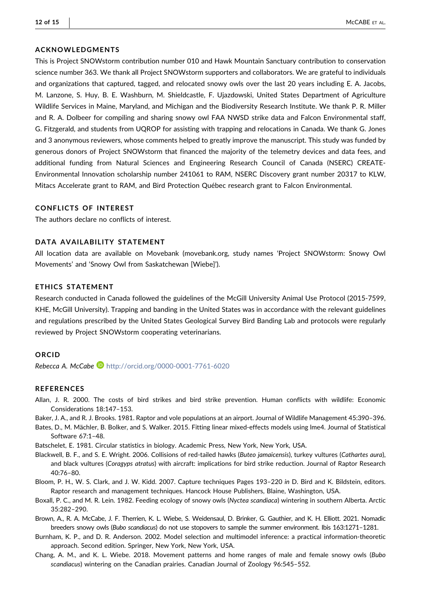## ACKNOWLEDGMENTS

This is Project SNOWstorm contribution number 010 and Hawk Mountain Sanctuary contribution to conservation science number 363. We thank all Project SNOWstorm supporters and collaborators. We are grateful to individuals and organizations that captured, tagged, and relocated snowy owls over the last 20 years including E. A. Jacobs, M. Lanzone, S. Huy, B. E. Washburn, M. Shieldcastle, F. Ujazdowski, United States Department of Agriculture Wildlife Services in Maine, Maryland, and Michigan and the Biodiversity Research Institute. We thank P. R. Miller and R. A. Dolbeer for compiling and sharing snowy owl FAA NWSD strike data and Falcon Environmental staff, G. Fitzgerald, and students from UQROP for assisting with trapping and relocations in Canada. We thank G. Jones and 3 anonymous reviewers, whose comments helped to greatly improve the manuscript. This study was funded by generous donors of Project SNOWstorm that financed the majority of the telemetry devices and data fees, and additional funding from Natural Sciences and Engineering Research Council of Canada (NSERC) CREATE‐ Environmental Innovation scholarship number 241061 to RAM, NSERC Discovery grant number 20317 to KLW, Mitacs Accelerate grant to RAM, and Bird Protection Québec research grant to Falcon Environmental.

## CONFLICTS OF INTEREST

The authors declare no conflicts of interest.

# DATA AVAILABILITY STATEMENT

All location data are available on Movebank (movebank.org, study names 'Project SNOWstorm: Snowy Owl Movements' and 'Snowy Owl from Saskatchewan [Wiebe]').

#### ETHICS STATEMENT

Research conducted in Canada followed the guidelines of the McGill University Animal Use Protocol (2015‐7599, KHE, McGill University). Trapping and banding in the United States was in accordance with the relevant guidelines and regulations prescribed by the United States Geological Survey Bird Banding Lab and protocols were regularly reviewed by Project SNOWstorm cooperating veterinarians.

## ORCID

Rebecca A. McCabe **b** <http://orcid.org/0000-0001-7761-6020>

#### REFERENCES

- <span id="page-11-0"></span>Allan, J. R. 2000. The costs of bird strikes and bird strike prevention. Human conflicts with wildlife: Economic Considerations 18:147–153.
- <span id="page-11-2"></span>Baker, J. A., and R. J. Brooks. 1981. Raptor and vole populations at an airport. Journal of Wildlife Management 45:390–396.
- <span id="page-11-6"></span>Bates, D., M. Mächler, B. Bolker, and S. Walker. 2015. Fitting linear mixed‐effects models using lme4. Journal of Statistical Software 67:1–48.
- <span id="page-11-7"></span>Batschelet, E. 1981. Circular statistics in biology. Academic Press, New York, New York, USA.
- <span id="page-11-1"></span>Blackwell, B. F., and S. E. Wright. 2006. Collisions of red-tailed hawks (Buteo jamaicensis), turkey vultures (Cathartes aura), and black vultures (Coragyps atratus) with aircraft: implications for bird strike reduction. Journal of Raptor Research 40:76–80.
- <span id="page-11-5"></span>Bloom, P. H., W. S. Clark, and J. W. Kidd. 2007. Capture techniques Pages 193–220 in D. Bird and K. Bildstein, editors. Raptor research and management techniques. Hancock House Publishers, Blaine, Washington, USA.
- <span id="page-11-3"></span>Boxall, P. C., and M. R. Lein. 1982. Feeding ecology of snowy owls (Nyctea scandiaca) wintering in southern Alberta. Arctic 35:282–290.
- <span id="page-11-4"></span>Brown, A., R. A. McCabe, J. F. Therrien, K. L. Wiebe, S. Weidensaul, D. Brinker, G. Gauthier, and K. H. Elliott. 2021. Nomadic breeders snowy owls (Bubo scandiacus) do not use stopovers to sample the summer environment. Ibis 163:1271–1281.
- <span id="page-11-8"></span>Burnham, K. P., and D. R. Anderson. 2002. Model selection and multimodel inference: a practical information‐theoretic approach. Second edition. Springer, New York, New York, USA.
- <span id="page-11-9"></span>Chang, A. M., and K. L. Wiebe. 2018. Movement patterns and home ranges of male and female snowy owls (Bubo scandiacus) wintering on the Canadian prairies. Canadian Journal of Zoology 96:545–552.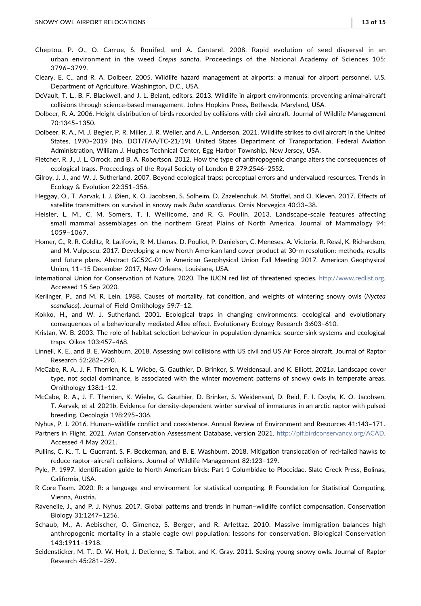- <span id="page-12-2"></span>Cheptou, P. O., O. Carrue, S. Rouifed, and A. Cantarel. 2008. Rapid evolution of seed dispersal in an urban environment in the weed Crepis sancta. Proceedings of the National Academy of Sciences 105: 3796–3799.
- <span id="page-12-8"></span>Cleary, E. C., and R. A. Dolbeer. 2005. Wildlife hazard management at airports: a manual for airport personnel. U.S. Department of Agriculture, Washington, D.C., USA.
- <span id="page-12-11"></span>DeVault, T. L., B. F. Blackwell, and J. L. Belant, editors. 2013. Wildlife in airport environments: preventing animal‐aircraft collisions through science‐based management. Johns Hopkins Press, Bethesda, Maryland, USA.
- <span id="page-12-10"></span>Dolbeer, R. A. 2006. Height distribution of birds recorded by collisions with civil aircraft. Journal of Wildlife Management 70:1345–1350.
- <span id="page-12-9"></span>Dolbeer, R. A., M. J. Begier, P. R. Miller, J. R. Weller, and A. L. Anderson. 2021. Wildlife strikes to civil aircraft in the United States, 1990–2019 (No. DOT/FAA/TC‐21/19). United States Department of Transportation, Federal Aviation Administration, William J. Hughes Technical Center, Egg Harbor Township, New Jersey, USA.
- <span id="page-12-7"></span>Fletcher, R. J., J. L. Orrock, and B. A. Robertson. 2012. How the type of anthropogenic change alters the consequences of ecological traps. Proceedings of the Royal Society of London B 279:2546–2552.
- <span id="page-12-6"></span>Gilroy, J. J., and W. J. Sutherland. 2007. Beyond ecological traps: perceptual errors and undervalued resources. Trends in Ecology & Evolution 22:351–356.
- <span id="page-12-19"></span>Heggøy, O., T. Aarvak, I. J. Øien, K. O. Jacobsen, S. Solheim, D. Zazelenchuk, M. Stoffel, and O. Kleven. 2017. Effects of satellite transmitters on survival in snowy owls Bubo scandiacus. Ornis Norvegica 40:33–38.
- <span id="page-12-16"></span>Heisler, L. M., C. M. Somers, T. I. Wellicome, and R. G. Poulin. 2013. Landscape-scale features affecting small mammal assemblages on the northern Great Plains of North America. Journal of Mammalogy 94: 1059–1067.
- <span id="page-12-20"></span>Homer, C., R. R. Colditz, R. Latifovic, R. M. Llamas, D. Pouliot, P. Danielson, C. Meneses, A. Victoria, R. Ressl, K. Richardson, and M. Vulpescu. 2017. Developing a new North American land cover product at 30‐m resolution: methods, results and future plans. Abstract GC52C‐01 in American Geophysical Union Fall Meeting 2017. American Geophysical Union, 11–15 December 2017, New Orleans, Louisiana, USA.
- <span id="page-12-23"></span>International Union for Conservation of Nature. 2020. The IUCN red list of threatened species. <http://www.redlist.org>. Accessed 15 Sep 2020.
- <span id="page-12-13"></span>Kerlinger, P., and M. R. Lein. 1988. Causes of mortality, fat condition, and weights of wintering snowy owls (Nyctea scandiaca). Journal of Field Ornithology 59:7–12.
- <span id="page-12-4"></span>Kokko, H., and W. J. Sutherland. 2001. Ecological traps in changing environments: ecological and evolutionary consequences of a behaviourally mediated Allee effect. Evolutionary Ecology Research 3:603–610.
- <span id="page-12-5"></span>Kristan, W. B. 2003. The role of habitat selection behaviour in population dynamics: source‐sink systems and ecological traps. Oikos 103:457–468.
- <span id="page-12-14"></span>Linnell, K. E., and B. E. Washburn. 2018. Assessing owl collisions with US civil and US Air Force aircraft. Journal of Raptor Research 52:282–290.
- <span id="page-12-15"></span>McCabe, R. A., J. F. Therrien, K. L. Wiebe, G. Gauthier, D. Brinker, S. Weidensaul, and K. Elliott. 2021a. Landscape cover type, not social dominance, is associated with the winter movement patterns of snowy owls in temperate areas. Ornithology 138:1–12.
- <span id="page-12-22"></span>McCabe, R. A., J. F. Therrien, K. Wiebe, G. Gauthier, D. Brinker, S. Weidensaul, D. Reid, F. I. Doyle, K. O. Jacobsen, T. Aarvak, et al. 2021b. Evidence for density‐dependent winter survival of immatures in an arctic raptor with pulsed breeding. Oecologia 198:295–306.
- <span id="page-12-0"></span>Nyhus, P. J. 2016. Human–wildlife conflict and coexistence. Annual Review of Environment and Resources 41:143–171.
- <span id="page-12-24"></span>Partners in Flight. 2021. Avian Conservation Assessment Database, version 2021. <http://pif.birdconservancy.org/ACAD>. Accessed 4 May 2021.
- <span id="page-12-12"></span>Pullins, C. K., T. L. Guerrant, S. F. Beckerman, and B. E. Washburn. 2018. Mitigation translocation of red‐tailed hawks to reduce raptor–aircraft collisions. Journal of Wildlife Management 82:123–129.
- <span id="page-12-17"></span>Pyle, P. 1997. Identification guide to North American birds: Part 1 Columbidae to Ploceidae. Slate Creek Press, Bolinas, California, USA.
- <span id="page-12-21"></span>R Core Team. 2020. R: a language and environment for statistical computing. R Foundation for Statistical Computing, Vienna, Austria.
- <span id="page-12-1"></span>Ravenelle, J., and P. J. Nyhus. 2017. Global patterns and trends in human–wildlife conflict compensation. Conservation Biology 31:1247–1256.
- <span id="page-12-3"></span>Schaub, M., A. Aebischer, O. Gimenez, S. Berger, and R. Arlettaz. 2010. Massive immigration balances high anthropogenic mortality in a stable eagle owl population: lessons for conservation. Biological Conservation 143:1911–1918.
- <span id="page-12-18"></span>Seidensticker, M. T., D. W. Holt, J. Detienne, S. Talbot, and K. Gray. 2011. Sexing young snowy owls. Journal of Raptor Research 45:281–289.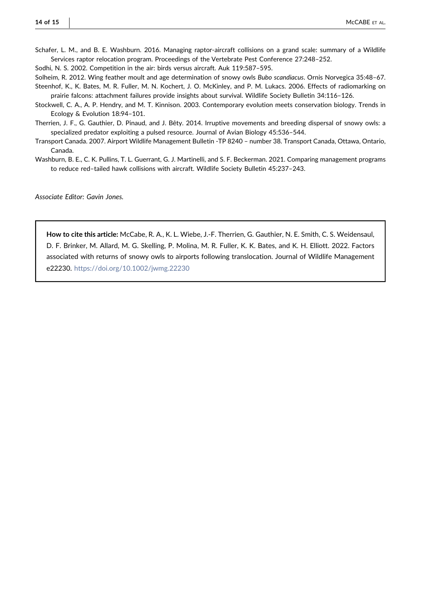<span id="page-13-2"></span>Schafer, L. M., and B. E. Washburn. 2016. Managing raptor-aircraft collisions on a grand scale: summary of a Wildlife Services raptor relocation program. Proceedings of the Vertebrate Pest Conference 27:248–252.

<span id="page-13-1"></span>Sodhi, N. S. 2002. Competition in the air: birds versus aircraft. Auk 119:587–595.

<span id="page-13-4"></span><span id="page-13-3"></span>Solheim, R. 2012. Wing feather moult and age determination of snowy owls Bubo scandiacus. Ornis Norvegica 35:48–67. Steenhof, K., K. Bates, M. R. Fuller, M. N. Kochert, J. O. McKinley, and P. M. Lukacs. 2006. Effects of radiomarking on prairie falcons: attachment failures provide insights about survival. Wildlife Society Bulletin 34:116–126.

<span id="page-13-0"></span>Stockwell, C. A., A. P. Hendry, and M. T. Kinnison. 2003. Contemporary evolution meets conservation biology. Trends in Ecology & Evolution 18:94–101.

<span id="page-13-5"></span>Therrien, J. F., G. Gauthier, D. Pinaud, and J. Bêty. 2014. Irruptive movements and breeding dispersal of snowy owls: a specialized predator exploiting a pulsed resource. Journal of Avian Biology 45:536–544.

- <span id="page-13-6"></span>Transport Canada. 2007. Airport Wildlife Management Bulletin ‐TP 8240 – number 38. Transport Canada, Ottawa, Ontario, Canada.
- <span id="page-13-7"></span>Washburn, B. E., C. K. Pullins, T. L. Guerrant, G. J. Martinelli, and S. F. Beckerman. 2021. Comparing management programs to reduce red–tailed hawk collisions with aircraft. Wildlife Society Bulletin 45:237–243.

Associate Editor: Gavin Jones.

How to cite this article: McCabe, R. A., K. L. Wiebe, J.‐F. Therrien, G. Gauthier, N. E. Smith, C. S. Weidensaul, D. F. Brinker, M. Allard, M. G. Skelling, P. Molina, M. R. Fuller, K. K. Bates, and K. H. Elliott. 2022. Factors associated with returns of snowy owls to airports following translocation. Journal of Wildlife Management e22230. <https://doi.org/10.1002/jwmg.22230>